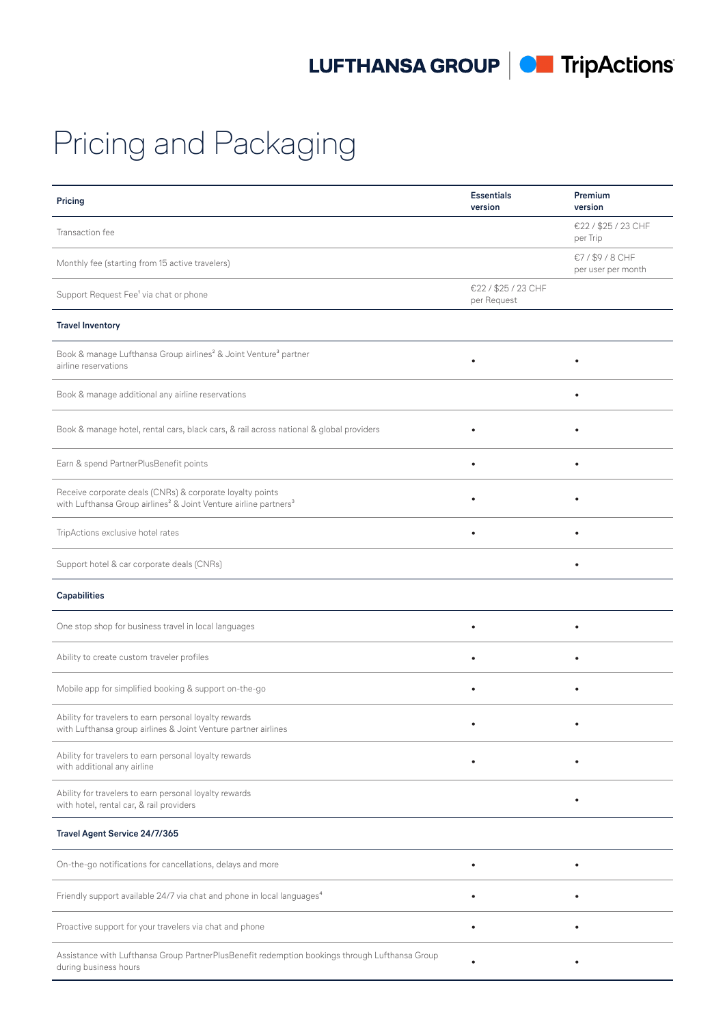LUFTHANSA GROUP | CH TripActions

Pricing and Packaging

| Pricing                                                                                                                                               | <b>Essentials</b><br>version       | Premium<br>version                 |
|-------------------------------------------------------------------------------------------------------------------------------------------------------|------------------------------------|------------------------------------|
| Transaction fee                                                                                                                                       |                                    | €22 / \$25 / 23 CHF<br>per Trip    |
| Monthly fee (starting from 15 active travelers)                                                                                                       |                                    | €7/\$9/8 CHF<br>per user per month |
| Support Request Fee <sup>1</sup> via chat or phone                                                                                                    | €22 / \$25 / 23 CHF<br>per Request |                                    |
| <b>Travel Inventory</b>                                                                                                                               |                                    |                                    |
| Book & manage Lufthansa Group airlines <sup>2</sup> & Joint Venture <sup>3</sup> partner<br>airline reservations                                      |                                    |                                    |
| Book & manage additional any airline reservations                                                                                                     |                                    | $\bullet$                          |
| Book & manage hotel, rental cars, black cars, & rail across national & global providers                                                               |                                    |                                    |
| Earn & spend PartnerPlusBenefit points                                                                                                                |                                    | $\bullet$                          |
| Receive corporate deals (CNRs) & corporate loyalty points<br>with Lufthansa Group airlines <sup>2</sup> & Joint Venture airline partners <sup>3</sup> |                                    |                                    |
| TripActions exclusive hotel rates                                                                                                                     | $\bullet$                          |                                    |
| Support hotel & car corporate deals (CNRs)                                                                                                            |                                    |                                    |
| <b>Capabilities</b>                                                                                                                                   |                                    |                                    |
| One stop shop for business travel in local languages                                                                                                  | $\bullet$                          | $\bullet$                          |
| Ability to create custom traveler profiles                                                                                                            |                                    | $\bullet$                          |
| Mobile app for simplified booking & support on-the-go                                                                                                 |                                    |                                    |
| Ability for travelers to earn personal loyalty rewards<br>with Lufthansa group airlines & Joint Venture partner airlines                              |                                    |                                    |
| Ability for travelers to earn personal loyalty rewards<br>with additional any airline                                                                 |                                    |                                    |
| Ability for travelers to earn personal loyalty rewards<br>with hotel, rental car, & rail providers                                                    |                                    |                                    |
| Travel Agent Service 24/7/365                                                                                                                         |                                    |                                    |
| On-the-go notifications for cancellations, delays and more                                                                                            |                                    |                                    |
| Friendly support available 24/7 via chat and phone in local languages <sup>4</sup>                                                                    |                                    |                                    |
| Proactive support for your travelers via chat and phone                                                                                               | ٠                                  | $\bullet$                          |
| Assistance with Lufthansa Group PartnerPlusBenefit redemption bookings through Lufthansa Group<br>during business hours                               |                                    |                                    |